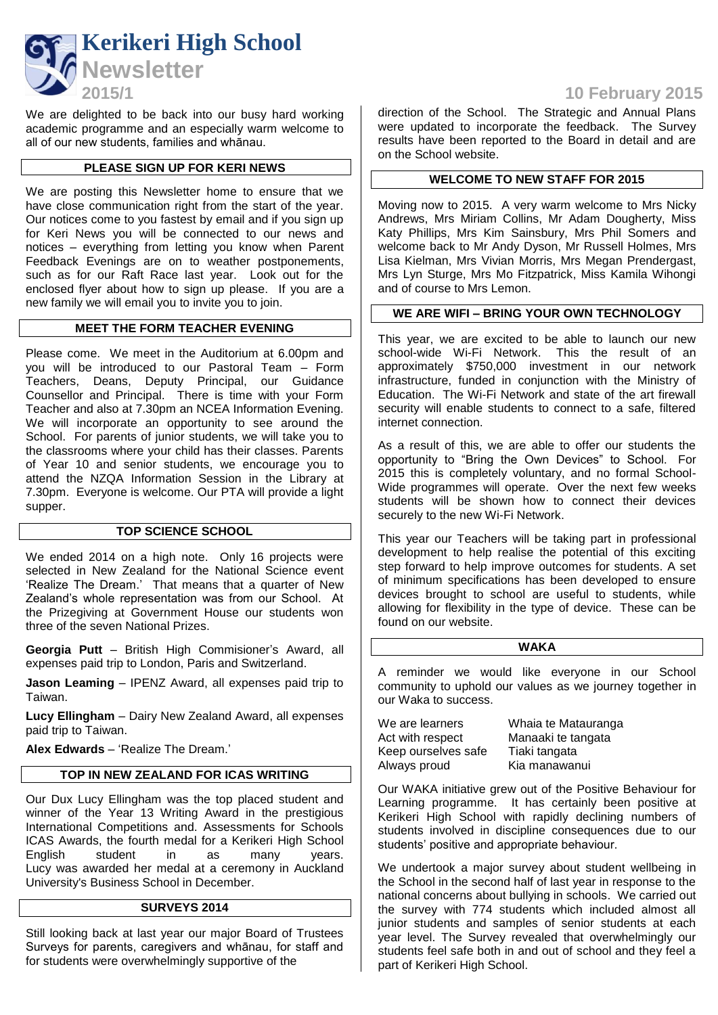

We are delighted to be back into our busy hard working academic programme and an especially warm welcome to all of our new students, families and whānau.

# **PLEASE SIGN UP FOR KERI NEWS**

We are posting this Newsletter home to ensure that we have close communication right from the start of the year. Our notices come to you fastest by email and if you sign up for Keri News you will be connected to our news and notices – everything from letting you know when Parent Feedback Evenings are on to weather postponements, such as for our Raft Race last year. Look out for the enclosed flyer about how to sign up please. If you are a new family we will email you to invite you to join.

### **MEET THE FORM TEACHER EVENING**

Please come. We meet in the Auditorium at 6.00pm and you will be introduced to our Pastoral Team – Form Teachers, Deans, Deputy Principal, our Guidance Counsellor and Principal. There is time with your Form Teacher and also at 7.30pm an NCEA Information Evening. We will incorporate an opportunity to see around the School. For parents of junior students, we will take you to the classrooms where your child has their classes. Parents of Year 10 and senior students, we encourage you to attend the NZQA Information Session in the Library at 7.30pm. Everyone is welcome. Our PTA will provide a light supper.

### **TOP SCIENCE SCHOOL**

We ended 2014 on a high note. Only 16 projects were selected in New Zealand for the National Science event 'Realize The Dream.' That means that a quarter of New Zealand's whole representation was from our School. At the Prizegiving at Government House our students won three of the seven National Prizes.

**Georgia Putt** – British High Commisioner's Award, all expenses paid trip to London, Paris and Switzerland.

**Jason Leaming** – IPENZ Award, all expenses paid trip to Taiwan.

**Lucy Ellingham** – Dairy New Zealand Award, all expenses paid trip to Taiwan.

**Alex Edwards** – 'Realize The Dream.'

### **TOP IN NEW ZEALAND FOR ICAS WRITING**

Our Dux Lucy Ellingham was the top placed student and winner of the Year 13 Writing Award in the prestigious International Competitions and. Assessments for Schools ICAS Awards, the fourth medal for a Kerikeri High School English student in as many years. Lucy was awarded her medal at a ceremony in Auckland University's Business School in December.

### **SURVEYS 2014**

Still looking back at last year our major Board of Trustees Surveys for parents, caregivers and whānau, for staff and for students were overwhelmingly supportive of the

# **2015/1 10 February 2015**

direction of the School. The Strategic and Annual Plans were updated to incorporate the feedback. The Survey results have been reported to the Board in detail and are on the School website.

### **WELCOME TO NEW STAFF FOR 2015**

Moving now to 2015. A very warm welcome to Mrs Nicky Andrews, Mrs Miriam Collins, Mr Adam Dougherty, Miss Katy Phillips, Mrs Kim Sainsbury, Mrs Phil Somers and welcome back to Mr Andy Dyson, Mr Russell Holmes, Mrs Lisa Kielman, Mrs Vivian Morris, Mrs Megan Prendergast, Mrs Lyn Sturge, Mrs Mo Fitzpatrick, Miss Kamila Wihongi and of course to Mrs Lemon.

# **WE ARE WIFI – BRING YOUR OWN TECHNOLOGY**

This year, we are excited to be able to launch our new school-wide Wi-Fi Network. This the result of an approximately \$750,000 investment in our network infrastructure, funded in conjunction with the Ministry of Education. The Wi-Fi Network and state of the art firewall security will enable students to connect to a safe, filtered internet connection.

As a result of this, we are able to offer our students the opportunity to "Bring the Own Devices" to School. For 2015 this is completely voluntary, and no formal School-Wide programmes will operate. Over the next few weeks students will be shown how to connect their devices securely to the new Wi-Fi Network.

This year our Teachers will be taking part in professional development to help realise the potential of this exciting step forward to help improve outcomes for students. A set of minimum specifications has been developed to ensure devices brought to school are useful to students, while allowing for flexibility in the type of device. These can be found on our website.

#### **WAKA**

A reminder we would like everyone in our School community to uphold our values as we journey together in our Waka to success.

| We are learners     | Whaia te Matauranga |
|---------------------|---------------------|
| Act with respect    | Manaaki te tangata  |
| Keep ourselves safe | Tiaki tangata       |
| Always proud        | Kia manawanui       |

Our WAKA initiative grew out of the Positive Behaviour for Learning programme. It has certainly been positive at Kerikeri High School with rapidly declining numbers of students involved in discipline consequences due to our students' positive and appropriate behaviour.

We undertook a major survey about student wellbeing in the School in the second half of last year in response to the national concerns about bullying in schools. We carried out the survey with 774 students which included almost all junior students and samples of senior students at each year level. The Survey revealed that overwhelmingly our students feel safe both in and out of school and they feel a part of Kerikeri High School.